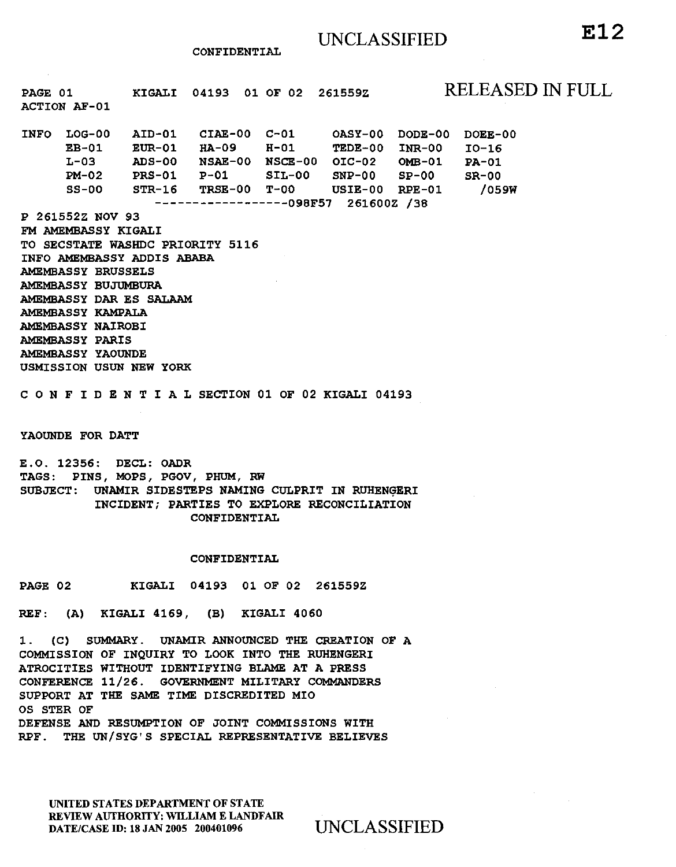#### CONFIDENTIAL

PAGE 01 ACTION AF-01 KIGALI 04193 01 OF 02 261559Z RELEASED IN FULL INFO LOG-00 EB-01  $L-03$ PM-02  $SS-00$ AID-01 EUR-01 HA-09 ADS-00 NSAE-00 NSCE-00 OIC-02 OMB-01 PRS-01 STR-16 CIAE-00  $P-01$ TRSE-00 OASY-00 DODE-00 H-01 TEDE-00 INR-00 SIL-00 SNP-00 SP-00  $USIE-00$  RPE-01 ------------------09BF57 261600Z /38 P 261552Z NOV 93 FM AMEMBASSY KIGALI DOEE-00 I0-16 PA-01 SR-00 /059W

TO SECSTATE WASHDC PRIORITY 5116 INFO AMEMBASSY ADDIS ABABA AMEMBASSY BRUSSELS AMEMBASSY BUJUMBURA AMEMBASSY DAR ES SALAAM AMEMBASSY KAMPALA AMEMBASSY NAIROBI AMEMBASSY PARIS AMEMBASSY YAOUNDE USMISSION USUN NEW YORK

C 0 N F I D E N T I A L SECTION 01 OF 02 KIGALI 04193

YAOUNDE FOR DATT

E.O. 12356: DECL: OADR TAGS: PINS, MOPS, PGOV, PHUM, RW SUBJECT: UNAMIR SIDESTEPS NAMING CULPRIT IN RUHENGERI INCIDENT; PARTIES TO EXPLORE RECONCILIATION CONFIDENTIAL

# CONFIDENTIAL

PAGE 02 KIGALI 04193 01 OF 02 261559Z

REF: (A) KIGALI 4169, (B) KIGALI 4060

1. (C) SUMMARY. UNAMIR ANNOUNCED THE CREATION OF A COMMISSION OF INQUIRY TO LOOK INTO THE RUHENGERI ATROCITIES WITHOUT IDENTIFYING BLAME AT A PRESS CONFERENCE 11/26. GOVERNMENT MILITARY COMMANDERS SUPPORT AT THE SAME TIME DISCREDITED MIO OS STER OF DEFENSE AND RESUMPTION OF JOINT COMMISSIONS WITH RPF. THE UN/ SYG' S SPECIAL REPRESENTATIVE BELIEVES

UNITED STATES DEPARTMENT OF STATE REVIEW AUfHORITY: WILLIAM E LANDFAIR DATE/CASE ID: 18 JAN 2005 200401096 UNCLASSIFIED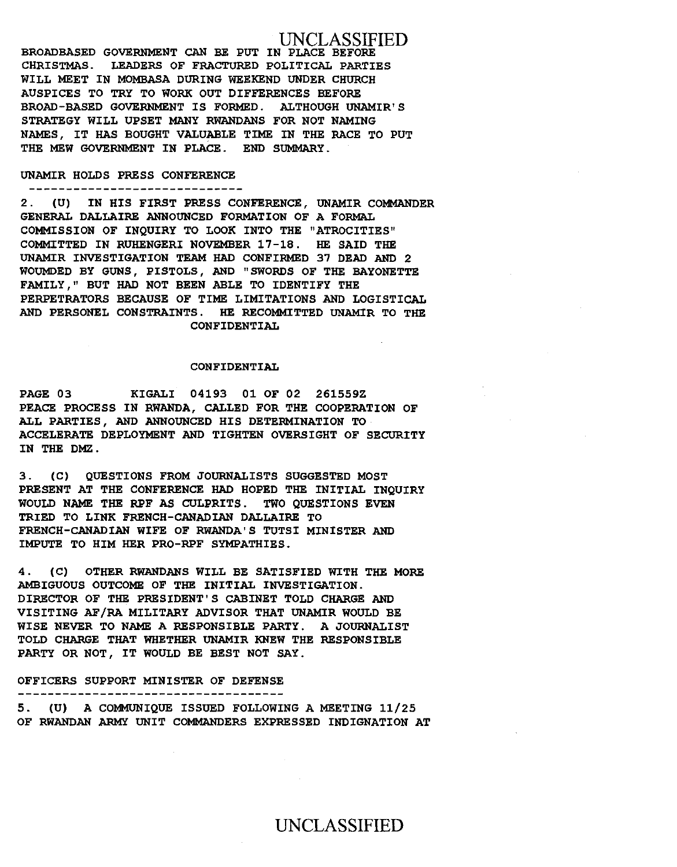UNCLASSIFIED BROADBASED GOVERNMENT CAN BE PUT IN PLACE BEFORE CHRISTMAS. LEADERS OF FRACTURED POLITICAL PARTIES WILL MEET IN MOMBASA DURING WEEKEND UNDER CHURCH AUSPICES TO TRY TO WORK OUT DIFFERENCES BEFORE BROAD-BASED GOVERNMENT IS FORMED. ALTHOUGH UNAMIR' S STRATEGY WILL UPSET MANY RWANDANS FOR NOT NAMING NAMES, IT HAS BOUGHT VALUABLE TIME IN THE RACE TO PUT THE MEW GOVERNMENT IN PLACE. END SUMMARY.

# UNAMIR HOLDS PRESS CONFERENCE

-----------------------------

2 . (U) IN HIS FIRST PRESS CONFERENCE, UNAMIR COMMANDER GENERAL DALLAIRE ANNOUNCED FORMATION OF A FORMAL COMMISSION OF INQUIRY TO LOOK INTO THE "ATROCITIES" COMMITTED IN RUHENGERI NOVEMBER 17-18. HE SAID THE UNAMIR INVESTIGATION TEAM HAD CONFIRMED 37 DEAD AND 2 WOUMDED BY GUNS, PISTOLS, AND "SWORDS OF THE BAYONETTE FAMILY," BUT HAD NOT BEEN ABLE TO IDENTIFY THE PERPETRATORS BECAUSE OF TIME LIMITATIONS AND LOGISTICAL AND PERSONEL CONSTRAINTS. HE RECOMMITTED UNAMIR TO THE CONFIDENTIAL

# CONFIDENTIAL

PAGE 03 KIGALI 04193 01 OF 02 261559Z PEACE PROCESS IN RWANDA, CALLED FOR THE COOPERATION OF ALL PARTIES, AND ANNOUNCED HIS DETERMINATION TO ACCELERATE DEPLOYMENT AND TIGHTEN OVERSIGHT OF SECURITY IN THE DMZ.

3. (C) QUESTIONS FROM JOURNALISTS SUGGESTED MOST PRESENT AT THE CONFERENCE HAD HOPED THE INITIAL INQUIRY WOULD NAME THE RPF AS CULPRITS. TWO QUESTIONS EVEN TRIED TO LINK FRENCH-CANADIAN DALLAIRE TO FRENCH-CANADIAN WIFE OF RWANDA'S TUTSI MINISTER AND IMPUTE TO HIM HER PRO-RPF SYMPATHIES.

4. (C) OTHER RWANDANS WILL BE SATISFIED WITH THE MORE AMBIGUOUS OUTCOME OF THE INITIAL INVESTIGATION. DIRECTOR OF THE PRESIDENT'S CABINET TOLD CHARGE AND VISITING AF/RA MILITARY ADVISOR THAT UNAMIR WOULD BE WISE NEVER TO NAME A RESPONSIBLE PARTY. A JOURNALIST TOLD CHARGE THAT WHETHER UNAMIR KNEW THE RESPONSIBLE PARTY OR NOT, IT WOULD BE BEST NOT SAY.

# OFFICERS SUPPORT MINISTER OF DEFENSE

-----------------------------------

5. (U) A COMMUNIQUE ISSUED FOLLOWING A MEETING 11/25 OF RWANDAN ARMY UNIT COMMANDERS EXPRESSED INDIGNATION AT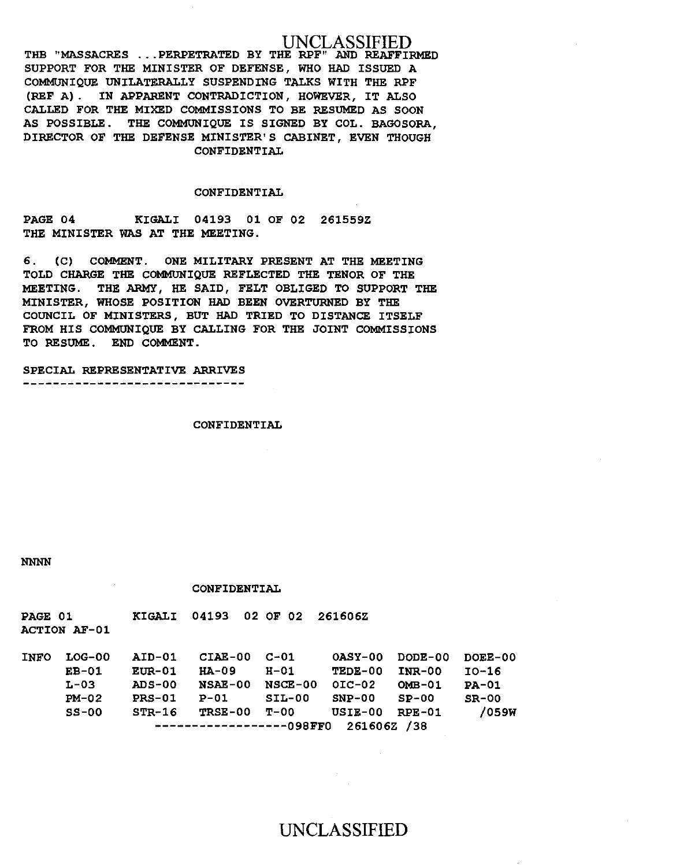# UNCLASSIFIED

THB "MASSACRES ... PERPETRATED BY THE RPF" AND REAFFIRMED SUPPORT FOR THE MINISTER OF DEFENSE, WHO HAD ISSUED A COMMUNIQUE UNILATERALLY SUSPENDING TALKS WITH THE RPF (REF A) . IN APPARENT CONTRADICTION, HOWEVER, IT ALSO CALLED FOR THE MIXED COMMISSIONS TO BE RESUMED AS SOON AS POSSIBLE. THE COMMUNIQUE IS SIGNED BY COL. BAGOSORA, DIRECTOR OF THE DEFENSE MINISTER'S CABINET, EVEN THOUGH CONFIDENTIAL

# CONFIDENTIAL

PAGE 04 KIGALI 04193 Ol OF 02 26l559Z THE MINISTER WAS AT THE MEETING.

6. (C) COMMENT. ONE MILITARY PRESENT AT THE MEETING TOLD CHARGE THE COMMUNIQUE REFLECTED THE TENOR OF THE MEETING. THE ARMY, HE SAID, FELT OBLIGED TO SUPPORT THE MINISTER, WHOSE POSITION HAD BEEN OVERTURNED BY THE COUNCIL OF MINISTERS, BUT HAD TRIED TO DISTANCE ITSELF FROM HIS COMMUNIQUE BY CALLING FOR THE JOINT COMMISSIONS TO RESUME. END COMMENT.

SPECIAL REPRESENTATIVE ARRIVES -----------------------------

#### CONFIDENTIAL

NNNN

#### CONFIDENTIAL

| PAGE 01 | <b>ACTION AF-01</b> |               | KIGALI 04193 02 OF 02 261606Z |      |                |                         |              |
|---------|---------------------|---------------|-------------------------------|------|----------------|-------------------------|--------------|
| INFO    | LOG-00              |               | AID-01 CIAE-00 C-01           |      |                | OASY-00 DODE-00 DOEE-00 |              |
|         | $EB-01$             | <b>EUR-01</b> | <b>HA-09</b>                  | H-01 | TEDE-00 INR-00 |                         | TO-16        |
|         | L-03                | <b>ADS-00</b> |                               |      |                |                         | <b>PA-01</b> |

| $EB-01$                             | <b>EUR-01</b> | HA-09          | H-01           | TEDE-00 INR-00 |        | TO-16        |  |  |  |  |
|-------------------------------------|---------------|----------------|----------------|----------------|--------|--------------|--|--|--|--|
| L-03                                | <b>ADS-00</b> | <b>NSAE-00</b> | <b>NSCE-00</b> | OIC-02         | OMB-01 | <b>PA-01</b> |  |  |  |  |
| $PM-02$                             | PRS-01        | P-01           | SIL-00         | ${\tt SNP-00}$ | SP-00  | $SR-00$      |  |  |  |  |
| $SS-00$                             | $STR-16$      | TRSE-00 T-00   |                | USIE-00 RPE-01 |        | /059W        |  |  |  |  |
| $---------------098FF0 261606Z /38$ |               |                |                |                |        |              |  |  |  |  |

UNCLASSIFIED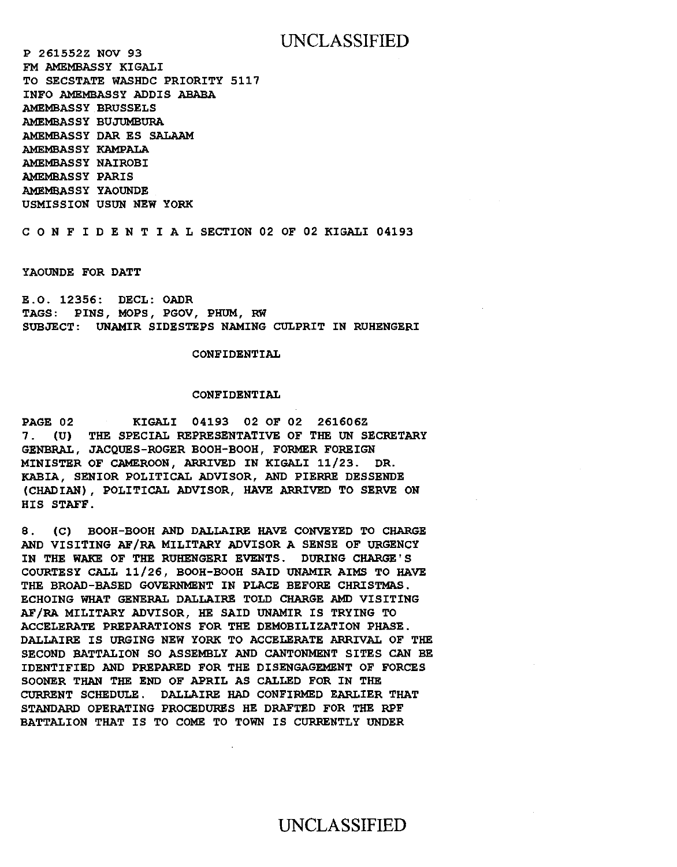# UNCLASSIFIED

P 261552Z NOV 93 FM AMEMBASSY KIGALI TO SECSTATE WASHDC PRIORITY 5117 INFO AMEMBASSY ADDIS ABABA AMEMBASSY BRUSSELS AMEMBASSY BUJUMBURA AMEMBASSY DAR ES SALAAM AMEMBASSY KAMPALA AMEMBASSY NAIROBI AMEMBASSY PARIS AMEMBASSY YAOUNDE USMISSION USUN NEW YORK

C 0 N F I D E N T I A L SECTION 02 OF 02 KIGALI 04193

YAOUNDE FOR DATT

E.O. 12356: DECL: OADR TAGS: PINS, MOPS, PGOV, PHUM, RW SUBJECT: UNAMIR SIDESTEPS NAMING CULPRIT IN RUHENGERI

#### CONFIDENTIAL

# CONFIDENTIAL

PAGE 02 KIGALI 04193 02 OF 02 261606Z 7. (U) THE SPECIAL REPRESENTATIVE OF THE UN SECRETARY GENBRAL, JACQUES-ROGER BOOH-BOOH, FORMER FOREIGN MINISTER OF CAMEROON, ARRIVED IN KIGALI 11/23. DR. KABIA, SENIOR POLITICAL ADVISOR, AND PIERRE DESSENDE (CHADIAN), POLITICAL ADVISOR, HAVE ARRIVED TO SERVE ON HIS STAFF.

8. (C) BOOH-BOOH AND DALLAIRE HAVE CONVEYED TO CHARGE AND VISITING AF/RA MILITARY ADVISOR A SENSE OF URGENCY IN THE WAKE OF THE RUHENGERI EVENTS. DURING CHARGE'S COURTESY CALL 11/26, BOOH-BOOH SAID UNAMIR AIMS TO HAVE THE BROAD-BASED GOVERNMENT IN PLACE BEFORE CHRISTMAS. ECHOING WHAT GENERAL DALLAIRE TOLD CHARGE AMD VISITING AF/RA MILITARY ADVISOR, HE SAID UNAMIR IS TRYING TO ACCELERATE PREPARATIONS FOR THE DEMOBILIZATION PHASE. DALLAIRE IS URGING NEW YORK TO ACCELERATE ARRIVAL OF THE SECOND BATTALION SO ASSEMBLY AND CANTONMENT SITES CAN BE IDENTIFIED AND PREPARED FOR THE DISENGAGEMENT OF FORCES SOONER THAN THE END OF APRIL AS CALLED FOR IN THE CURRENT SCHEDULE . DALLAIRE HAD CONFIRMED EARLIER THAT STANDARD OPERATING PROCEDURES HE DRAFTED FOR THE RPF BATTALION THAT IS TO COME TO TOWN IS CURRENTLY UNDER

# UNCLASSIFIED